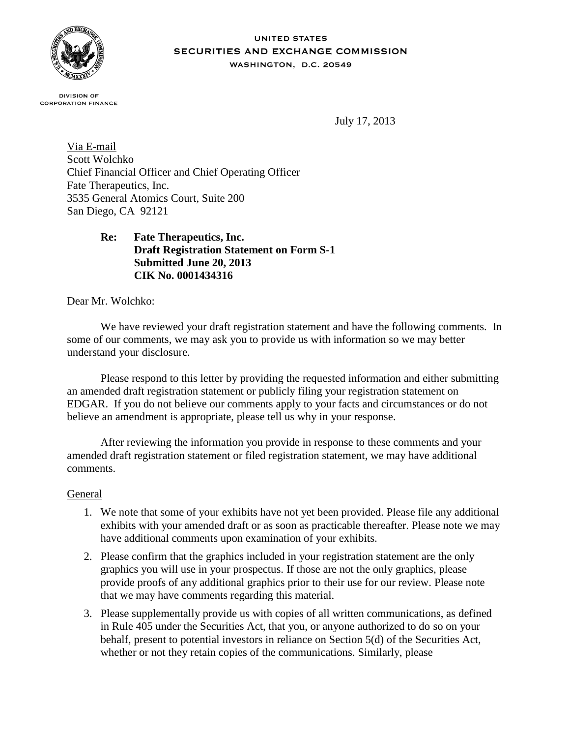

#### **UNITED STATES** SECURITIES AND EXCHANGE COMMISSION WASHINGTON, D.C. 20549

**DIVISION OF CORPORATION FINANCE** 

July 17, 2013

Via E-mail Scott Wolchko Chief Financial Officer and Chief Operating Officer Fate Therapeutics, Inc. 3535 General Atomics Court, Suite 200 San Diego, CA 92121

# **Re: Fate Therapeutics, Inc. Draft Registration Statement on Form S-1 Submitted June 20, 2013 CIK No. 0001434316**

Dear Mr. Wolchko:

We have reviewed your draft registration statement and have the following comments. In some of our comments, we may ask you to provide us with information so we may better understand your disclosure.

Please respond to this letter by providing the requested information and either submitting an amended draft registration statement or publicly filing your registration statement on EDGAR. If you do not believe our comments apply to your facts and circumstances or do not believe an amendment is appropriate, please tell us why in your response.

After reviewing the information you provide in response to these comments and your amended draft registration statement or filed registration statement, we may have additional comments.

## General

- 1. We note that some of your exhibits have not yet been provided. Please file any additional exhibits with your amended draft or as soon as practicable thereafter. Please note we may have additional comments upon examination of your exhibits.
- 2. Please confirm that the graphics included in your registration statement are the only graphics you will use in your prospectus. If those are not the only graphics, please provide proofs of any additional graphics prior to their use for our review. Please note that we may have comments regarding this material.
- 3. Please supplementally provide us with copies of all written communications, as defined in Rule 405 under the Securities Act, that you, or anyone authorized to do so on your behalf, present to potential investors in reliance on Section 5(d) of the Securities Act, whether or not they retain copies of the communications. Similarly, please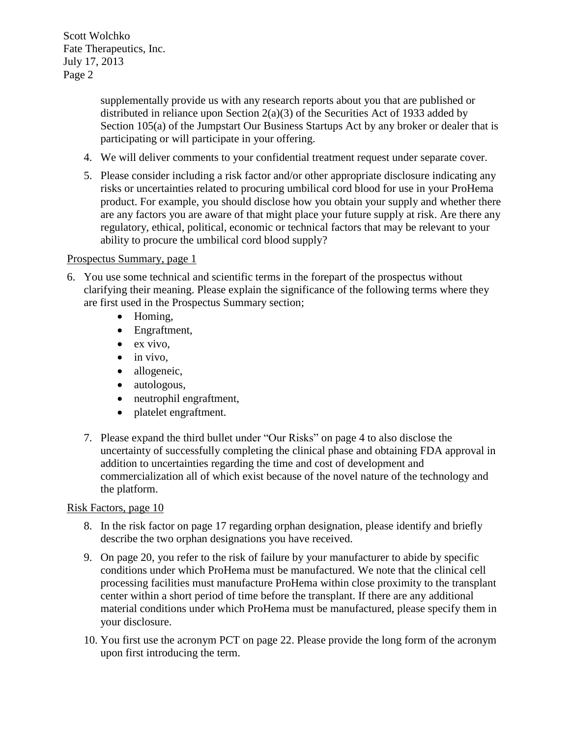> supplementally provide us with any research reports about you that are published or distributed in reliance upon Section  $2(a)(3)$  of the Securities Act of 1933 added by Section 105(a) of the Jumpstart Our Business Startups Act by any broker or dealer that is participating or will participate in your offering.

- 4. We will deliver comments to your confidential treatment request under separate cover.
- 5. Please consider including a risk factor and/or other appropriate disclosure indicating any risks or uncertainties related to procuring umbilical cord blood for use in your ProHema product. For example, you should disclose how you obtain your supply and whether there are any factors you are aware of that might place your future supply at risk. Are there any regulatory, ethical, political, economic or technical factors that may be relevant to your ability to procure the umbilical cord blood supply?

## Prospectus Summary, page 1

- 6. You use some technical and scientific terms in the forepart of the prospectus without clarifying their meaning. Please explain the significance of the following terms where they are first used in the Prospectus Summary section;
	- Homing,
	- Engraftment,
	- $\bullet$  ex vivo,
	- $\bullet$  in vivo,
	- allogeneic,
	- autologous,
	- neutrophil engraftment,
	- platelet engraftment.
	- 7. Please expand the third bullet under "Our Risks" on page 4 to also disclose the uncertainty of successfully completing the clinical phase and obtaining FDA approval in addition to uncertainties regarding the time and cost of development and commercialization all of which exist because of the novel nature of the technology and the platform.

## Risk Factors, page 10

- 8. In the risk factor on page 17 regarding orphan designation, please identify and briefly describe the two orphan designations you have received.
- 9. On page 20, you refer to the risk of failure by your manufacturer to abide by specific conditions under which ProHema must be manufactured. We note that the clinical cell processing facilities must manufacture ProHema within close proximity to the transplant center within a short period of time before the transplant. If there are any additional material conditions under which ProHema must be manufactured, please specify them in your disclosure.
- 10. You first use the acronym PCT on page 22. Please provide the long form of the acronym upon first introducing the term.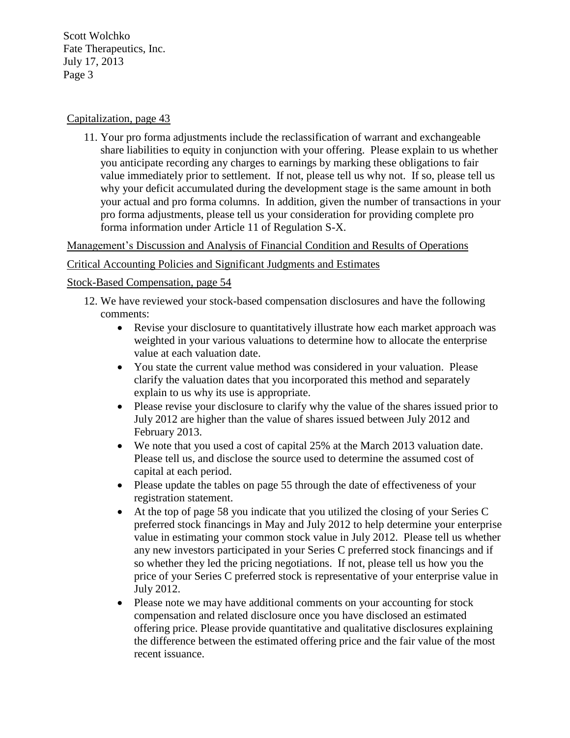## Capitalization, page 43

11. Your pro forma adjustments include the reclassification of warrant and exchangeable share liabilities to equity in conjunction with your offering. Please explain to us whether you anticipate recording any charges to earnings by marking these obligations to fair value immediately prior to settlement. If not, please tell us why not. If so, please tell us why your deficit accumulated during the development stage is the same amount in both your actual and pro forma columns. In addition, given the number of transactions in your pro forma adjustments, please tell us your consideration for providing complete pro forma information under Article 11 of Regulation S-X.

Management's Discussion and Analysis of Financial Condition and Results of Operations

## Critical Accounting Policies and Significant Judgments and Estimates

## Stock-Based Compensation, page 54

- 12. We have reviewed your stock-based compensation disclosures and have the following comments:
	- Revise your disclosure to quantitatively illustrate how each market approach was weighted in your various valuations to determine how to allocate the enterprise value at each valuation date.
	- You state the current value method was considered in your valuation. Please clarify the valuation dates that you incorporated this method and separately explain to us why its use is appropriate.
	- Please revise your disclosure to clarify why the value of the shares issued prior to July 2012 are higher than the value of shares issued between July 2012 and February 2013.
	- We note that you used a cost of capital 25% at the March 2013 valuation date. Please tell us, and disclose the source used to determine the assumed cost of capital at each period.
	- Please update the tables on page 55 through the date of effectiveness of your registration statement.
	- At the top of page 58 you indicate that you utilized the closing of your Series C preferred stock financings in May and July 2012 to help determine your enterprise value in estimating your common stock value in July 2012. Please tell us whether any new investors participated in your Series C preferred stock financings and if so whether they led the pricing negotiations. If not, please tell us how you the price of your Series C preferred stock is representative of your enterprise value in July 2012.
	- Please note we may have additional comments on your accounting for stock compensation and related disclosure once you have disclosed an estimated offering price. Please provide quantitative and qualitative disclosures explaining the difference between the estimated offering price and the fair value of the most recent issuance.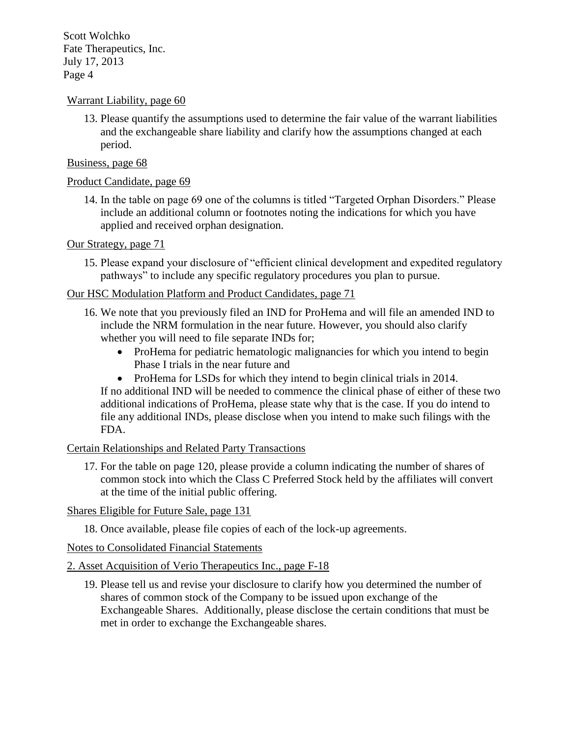## Warrant Liability, page 60

13. Please quantify the assumptions used to determine the fair value of the warrant liabilities and the exchangeable share liability and clarify how the assumptions changed at each period.

## Business, page 68

## Product Candidate, page 69

14. In the table on page 69 one of the columns is titled "Targeted Orphan Disorders." Please include an additional column or footnotes noting the indications for which you have applied and received orphan designation.

## Our Strategy, page 71

15. Please expand your disclosure of "efficient clinical development and expedited regulatory pathways" to include any specific regulatory procedures you plan to pursue.

## Our HSC Modulation Platform and Product Candidates, page 71

- 16. We note that you previously filed an IND for ProHema and will file an amended IND to include the NRM formulation in the near future. However, you should also clarify whether you will need to file separate INDs for;
	- ProHema for pediatric hematologic malignancies for which you intend to begin Phase I trials in the near future and
	- ProHema for LSDs for which they intend to begin clinical trials in 2014.

If no additional IND will be needed to commence the clinical phase of either of these two additional indications of ProHema, please state why that is the case. If you do intend to file any additional INDs, please disclose when you intend to make such filings with the FDA.

## Certain Relationships and Related Party Transactions

17. For the table on page 120, please provide a column indicating the number of shares of common stock into which the Class C Preferred Stock held by the affiliates will convert at the time of the initial public offering.

## Shares Eligible for Future Sale, page 131

18. Once available, please file copies of each of the lock-up agreements.

# Notes to Consolidated Financial Statements

## 2. Asset Acquisition of Verio Therapeutics Inc., page F-18

19. Please tell us and revise your disclosure to clarify how you determined the number of shares of common stock of the Company to be issued upon exchange of the Exchangeable Shares. Additionally, please disclose the certain conditions that must be met in order to exchange the Exchangeable shares.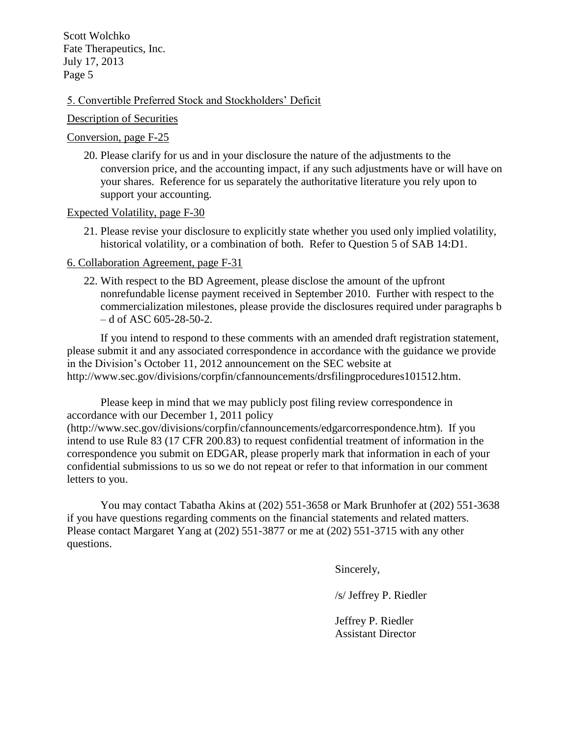#### 5. Convertible Preferred Stock and Stockholders' Deficit

#### Description of Securities

#### Conversion, page F-25

20. Please clarify for us and in your disclosure the nature of the adjustments to the conversion price, and the accounting impact, if any such adjustments have or will have on your shares. Reference for us separately the authoritative literature you rely upon to support your accounting.

#### Expected Volatility, page F-30

21. Please revise your disclosure to explicitly state whether you used only implied volatility, historical volatility, or a combination of both. Refer to Question 5 of SAB 14:D1.

#### 6. Collaboration Agreement, page F-31

22. With respect to the BD Agreement, please disclose the amount of the upfront nonrefundable license payment received in September 2010. Further with respect to the commercialization milestones, please provide the disclosures required under paragraphs b – d of ASC 605-28-50-2.

If you intend to respond to these comments with an amended draft registration statement, please submit it and any associated correspondence in accordance with the guidance we provide in the Division's October 11, 2012 announcement on the SEC website at http://www.sec.gov/divisions/corpfin/cfannouncements/drsfilingprocedures101512.htm.

Please keep in mind that we may publicly post filing review correspondence in accordance with our December 1, 2011 policy (http://www.sec.gov/divisions/corpfin/cfannouncements/edgarcorrespondence.htm). If you intend to use Rule 83 (17 CFR 200.83) to request confidential treatment of information in the correspondence you submit on EDGAR, please properly mark that information in each of your confidential submissions to us so we do not repeat or refer to that information in our comment letters to you.

You may contact Tabatha Akins at (202) 551-3658 or Mark Brunhofer at (202) 551-3638 if you have questions regarding comments on the financial statements and related matters. Please contact Margaret Yang at (202) 551-3877 or me at (202) 551-3715 with any other questions.

Sincerely,

/s/ Jeffrey P. Riedler

Jeffrey P. Riedler Assistant Director